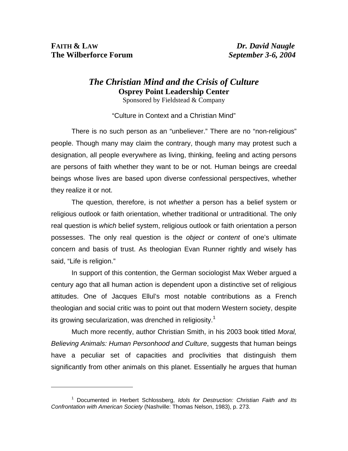$\overline{a}$ 

## *The Christian Mind and the Crisis of Culture* **Osprey Point Leadership Center**

Sponsored by Fieldstead & Company

"Culture in Context and a Christian Mind"

There is no such person as an "unbeliever." There are no "non-religious" people. Though many may claim the contrary, though many may protest such a designation, all people everywhere as living, thinking, feeling and acting persons are persons of faith whether they want to be or not. Human beings are creedal beings whose lives are based upon diverse confessional perspectives, whether they realize it or not.

The question, therefore, is not *whether* a person has a belief system or religious outlook or faith orientation, whether traditional or untraditional. The only real question is *which* belief system, religious outlook or faith orientation a person possesses. The only real question is the *object or content* of one's ultimate concern and basis of trust. As theologian Evan Runner rightly and wisely has said, "Life is religion."

In support of this contention, the German sociologist Max Weber argued a century ago that all human action is dependent upon a distinctive set of religious attitudes. One of Jacques Ellul's most notable contributions as a French theologian and social critic was to point out that mod[ern](#page-0-0) Western society, despite its growing secularization, was drenched in religiosity.<sup>1</sup>

Much more recently, author Christian Smith, in his 2003 book titled *Moral, Believing Animals: Human Personhood and Culture*, suggests that human beings have a peculiar set of capacities and proclivities that distinguish them significantly from other animals on this planet. Essentially he argues that human

<span id="page-0-0"></span><sup>1</sup> Documented in Herbert Schlossberg, *Idols for Destruction: Christian Faith and Its Confrontation with American Society* (Nashville: Thomas Nelson, 1983), p. 273.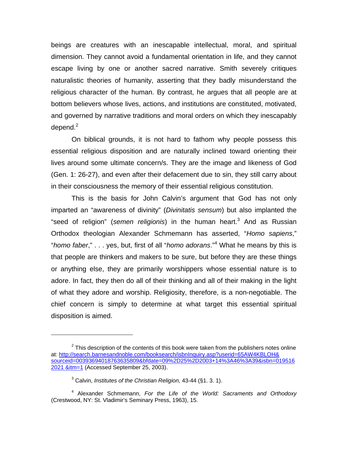beings are creatures with an inescapable intellectual, moral, and spiritual dimension. They cannot avoid a fundamental orientation in life, and they cannot escape living by one or another sacred narrative. Smith severely critiques naturalistic theories of humanity, asserting that they badly misunderstand the religious character of the human. By contrast, he argues that all people are at bottom believers whose lives, actions, and institutions are constituted, motivated, and gov[e](#page-1-0)rned by narrative traditions and moral orders on which they inescapably depend. $2$ 

On biblical grounds, it is not hard to fathom why people possess this essential religious disposition and are naturally inclined toward orienting their lives around some ultimate concern/s. They are the image and likeness of God (Gen. 1: 26-27), and even after their defacement due to sin, they still carry about in their consciousness the memory of their essential religious constitution.

This is the basis for John Calvin's argument that God has not only imparted an "awareness of divinity" (*Divinitatis sensum*) but [a](#page-1-1)lso implanted the "seed of religion" (semen religionis) in the human heart.<sup>3</sup> And as Russian Orthodox theologian Alexander Schmemann has [as](#page-1-2)serted, "*Homo sapiens*," "*homo faber*," . . . yes, but, first of all "*homo adorans*."<sup>4</sup> What he means by this is that people are thinkers and makers to be sure, but before they are these things or anything else, they are primarily worshippers whose essential nature is to adore. In fact, they then do all of their thinking and all of their making in the light of what they adore and worship. Religiosity, therefore, is a non-negotiable. The chief concern is simply to determine at what target this essential spiritual disposition is aimed.

<span id="page-1-0"></span> $2$  This description of the contents of this book were taken from the publishers notes online at: http://search.barnesandnoble.com/booksearch/isbnInquiry.asp?userid=65AW4KBLOH& sourceid=00393694018763635809&bfdate=09%2D25%2D2003+14%3A46%3A39&isbn=019516 2021 &itm=1 (Accessed September 25, 2003).

<span id="page-1-2"></span><span id="page-1-1"></span><sup>3</sup> Calvin, *Institutes of the Christian Religion,* 43-44 (§1. 3. 1).

<sup>4</sup> Alexander Schmemann, *For the Life of the World: Sacraments and Orthodoxy* (Crestwood, NY: St. Vladimir's Seminary Press, 1963), 15.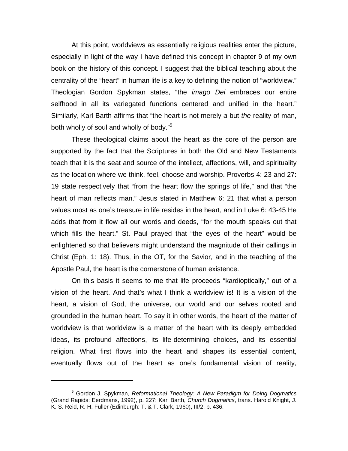At this point, worldviews as essentially religious realities enter the picture, especially in light of the way I have defined this concept in chapter 9 of my own book on the history of this concept. I suggest that the biblical teaching about the centrality of the "heart" in human life is a key to defining the notion of "worldview." Theologian Gordon Spykman states, "the *imago Dei* embraces our entire selfhood in all its variegated functions centered and unified in the heart." Similarly, Karl Barth affirms that "the heart is not merely *a* but *the* reality of man, both wholly of soul and wholly of body."<sup>[5](#page-2-0)</sup>

These theological claims about the heart as the core of the person are supported by the fact that the Scriptures in both the Old and New Testaments teach that it is the seat and source of the intellect, affections, will, and spirituality as the location where we think, feel, choose and worship. Proverbs 4: 23 and 27: 19 state respectively that "from the heart flow the springs of life," and that "the heart of man reflects man." Jesus stated in Matthew 6: 21 that what a person values most as one's treasure in life resides in the heart, and in Luke 6: 43-45 He adds that from it flow all our words and deeds, "for the mouth speaks out that which fills the heart." St. Paul prayed that "the eyes of the heart" would be enlightened so that believers might understand the magnitude of their callings in Christ (Eph. 1: 18). Thus, in the OT, for the Savior, and in the teaching of the Apostle Paul, the heart is the cornerstone of human existence.

On this basis it seems to me that life proceeds "kardioptically," out of a vision of the heart. And that's what I think a worldview is! It is a vision of the heart, a vision of God, the universe, our world and our selves rooted and grounded in the human heart. To say it in other words, the heart of the matter of worldview is that worldview is a matter of the heart with its deeply embedded ideas, its profound affections, its life-determining choices, and its essential religion. What first flows into the heart and shapes its essential content, eventually flows out of the heart as one's fundamental vision of reality,

<span id="page-2-0"></span><sup>5</sup> Gordon J. Spykman, *Reformational Theology: A New Paradigm for Doing Dogmatics* (Grand Rapids: Eerdmans, 1992), p. 227; Karl Barth, *Church Dogmatics*, trans. Harold Knight, J. K. S. Reid, R. H. Fuller (Edinburgh: T. & T. Clark, 1960), III/2, p. 436.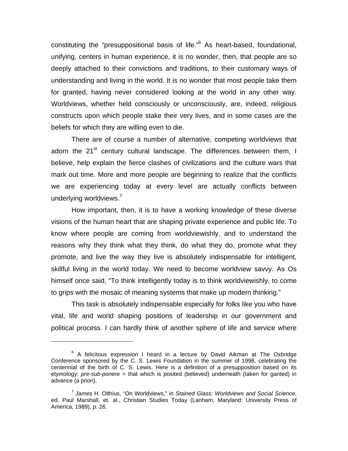constituting the "presuppositional basis of life."<sup>[6](#page-3-0)</sup> As heart-based, foundational, unifying, centers in human experience, it is no wonder, then, that people are so deeply attached to their convictions and traditions, to their customary ways of understanding and living in the world. It is no wonder that most people take them for granted, having never considered looking at the world in any other way. Worldviews, whether held consciously or unconsciously, are, indeed, religious constructs upon which people stake their very lives, and in some cases are the beliefs for which they are willing even to die.

There are of course a number of alternative, competing worldviews that adorn the 21<sup>st</sup> century cultural landscape. The differences between them, I believe, help explain the fierce clashes of civilizations and the culture wars that mark out time. More and more people are beginning to realize that the conflicts we are experiencing today at every level are actually conflicts between underlying worldviews.<sup>[7](#page-3-1)</sup>

How important, then, it is to have a working knowledge of these diverse visions of the human heart that are shaping private experience and public life. To know where people are coming from worldviewishly, and to understand the reasons why they think what they think, do what they do, promote what they promote, and live the way they live is absolutely indispensable for intelligent, skillful living in the world today. We need to become worldview savvy. As Os himself once said, "To think intelligently today is to think worldviewishly, to come to grips with the mosaic of meaning systems that make up modern thinking."

This task is absolutely indispensable especially for folks like you who have vital, life and world shaping positions of leadership in our government and political process. I can hardly think of another sphere of life and service where

<span id="page-3-0"></span> $6$  A felicitous expression I heard in a lecture by David Aikman at The Oxbridge Conference sponsored by the C. S. Lewis Foundation in the summer of 1998, celebrating the centennial of the birth of C. S. Lewis. Here is a definition of a presupposition based on its etymology: *pre-sub-ponere* = that which is posited (believed) underneath (taken for ganted) in advance (a priori).

<span id="page-3-1"></span><sup>7</sup> James H. Olthius, "On Worldviews," in *Stained Glass: Worldviews and Social Science*, ed. Paul Marshall, et. al., Christian Studies Today (Lanham, Maryland: University Press of America, 1989), p. 26.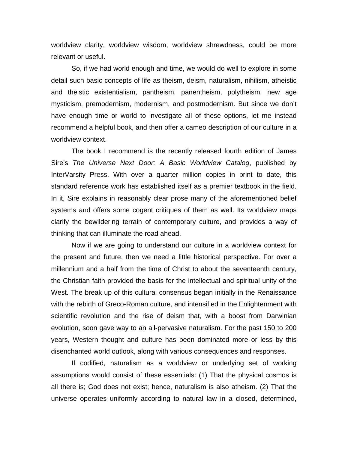worldview clarity, worldview wisdom, worldview shrewdness, could be more relevant or useful.

So, if we had world enough and time, we would do well to explore in some detail such basic concepts of life as theism, deism, naturalism, nihilism, atheistic and theistic existentialism, pantheism, panentheism, polytheism, new age mysticism, premodernism, modernism, and postmodernism. But since we don't have enough time or world to investigate all of these options, let me instead recommend a helpful book, and then offer a cameo description of our culture in a worldview context.

The book I recommend is the recently released fourth edition of James Sire's *The Universe Next Door: A Basic Worldview Catalog*, published by InterVarsity Press. With over a quarter million copies in print to date, this standard reference work has established itself as a premier textbook in the field. In it, Sire explains in reasonably clear prose many of the aforementioned belief systems and offers some cogent critiques of them as well. Its worldview maps clarify the bewildering terrain of contemporary culture, and provides a way of thinking that can illuminate the road ahead.

Now if we are going to understand our culture in a worldview context for the present and future, then we need a little historical perspective. For over a millennium and a half from the time of Christ to about the seventeenth century, the Christian faith provided the basis for the intellectual and spiritual unity of the West. The break up of this cultural consensus began initially in the Renaissance with the rebirth of Greco-Roman culture, and intensified in the Enlightenment with scientific revolution and the rise of deism that, with a boost from Darwinian evolution, soon gave way to an all-pervasive naturalism. For the past 150 to 200 years, Western thought and culture has been dominated more or less by this disenchanted world outlook, along with various consequences and responses.

If codified, naturalism as a worldview or underlying set of working assumptions would consist of these essentials: (1) That the physical cosmos is all there is; God does not exist; hence, naturalism is also atheism. (2) That the universe operates uniformly according to natural law in a closed, determined,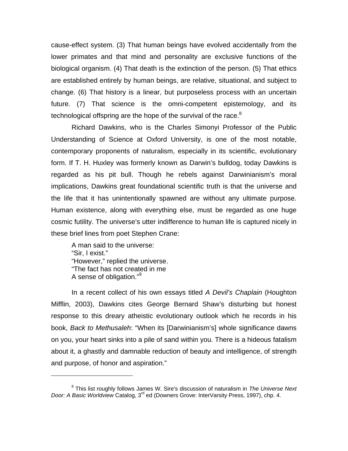cause-effect system. (3) That human beings have evolved accidentally from the lower primates and that mind and personality are exclusive functions of the biological organism. (4) That death is the extinction of the person. (5) That ethics are established entirely by human beings, are relative, situational, and subject to change. (6) That history is a linear, but purposeless process with an uncertain future. (7) That science is the omni-competent epistemology, and its technological offspring are the hope of the survival of the race. $8$ 

Richard Dawkins, who is the Charles Simonyi Professor of the Public Understanding of Science at Oxford University, is one of the most notable, contemporary proponents of naturalism, especially in its scientific, evolutionary form. If T. H. Huxley was formerly known as Darwin's bulldog, today Dawkins is regarded as his pit bull. Though he rebels against Darwinianism's moral implications, Dawkins great foundational scientific truth is that the universe and the life that it has unintentionally spawned are without any ultimate purpose. Human existence, along with everything else, must be regarded as one huge cosmic futility. The universe's utter indifference to human life is captured nicely in these brief lines from poet Stephen Crane:

A man said to the universe: "Sir, I exist." "However," replied the universe. "The fact has not created in me A sense of obligation."[9](#page-5-1)

 $\overline{a}$ 

In a recent collect of his own essays titled *A Devil's Chaplain* (Houghton Mifflin, 2003), Dawkins cites George Bernard Shaw's disturbing but honest response to this dreary atheistic evolutionary outlook which he records in his book, *Back to Methusaleh*: "When its [Darwinianism's] whole significance dawns on you, your heart sinks into a pile of sand within you. There is a hideous fatalism about it, a ghastly and damnable reduction of beauty and intelligence, of strength and purpose, of honor and aspiration."

<span id="page-5-1"></span><span id="page-5-0"></span><sup>8</sup> This list roughly follows James W. Sire's discussion of naturalism in *The Universe Next Door: A Basic Worldview* Catalog, 3rd ed (Downers Grove: InterVarsity Press, 1997), chp. 4.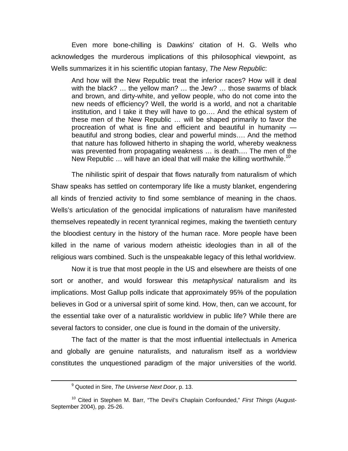Even more bone-chilling is Dawkins' citation of H. G. Wells who acknowledges the murderous implications of this philosophical viewpoint, as Wells summarizes it in his scientific utopian fantasy, *The New Republic*:

And how will the New Republic treat the inferior races? How will it deal with the black? … the yellow man? … the Jew? … those swarms of black and brown, and dirty-white, and yellow people, who do not come into the new needs of efficiency? Well, the world is a world, and not a charitable institution, and I take it they will have to go…. And the ethical system of these men of the New Republic … will be shaped primarily to favor the procreation of what is fine and efficient and beautiful in humanity beautiful and strong bodies, clear and powerful minds…. And the method that nature has followed hitherto in shaping the world, whereby weakness was prevented from propagating weakness … is death…. The men of the New Republic  $\ldots$  will have an ideal that will make the killing worthwhile.<sup>[10](#page-6-0)</sup>

The nihilistic spirit of despair that flows naturally from naturalism of which Shaw speaks has settled on contemporary life like a musty blanket, engendering all kinds of frenzied activity to find some semblance of meaning in the chaos. Wells's articulation of the genocidal implications of naturalism have manifested themselves repeatedly in recent tyrannical regimes, making the twentieth century the bloodiest century in the history of the human race. More people have been killed in the name of various modern atheistic ideologies than in all of the religious wars combined. Such is the unspeakable legacy of this lethal worldview.

Now it is true that most people in the US and elsewhere are theists of one sort or another, and would forswear this *metaphysical* naturalism and its implications. Most Gallup polls indicate that approximately 95% of the population believes in God or a universal spirit of some kind. How, then, can we account, for the essential take over of a naturalistic worldview in public life? While there are several factors to consider, one clue is found in the domain of the university.

The fact of the matter is that the most influential intellectuals in America and globally are genuine naturalists, and naturalism itself as a worldview constitutes the unquestioned paradigm of the major universities of the world.

 <sup>9</sup> Quoted in Sire, *The Universe Next Door*, p. 13.

<span id="page-6-0"></span><sup>10</sup> Cited in Stephen M. Barr, "The Devil's Chaplain Confounded," *First Things* (August-September 2004), pp. 25-26.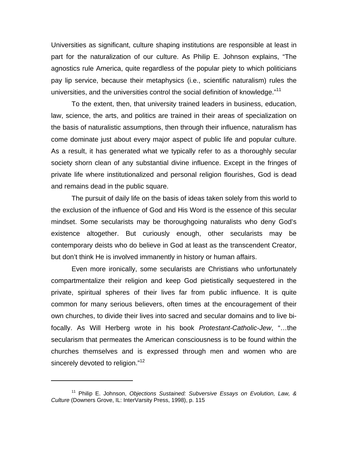Universities as significant, culture shaping institutions are responsible at least in part for the naturalization of our culture. As Philip E. Johnson explains, "The agnostics rule America, quite regardless of the popular piety to which politicians pay lip service, because their metaphysics (i.e., scientific naturalism) rules the universities, and the universities control the social definition of knowledge."<sup>[11](#page-7-0)</sup>

To the extent, then, that university trained leaders in business, education, law, science, the arts, and politics are trained in their areas of specialization on the basis of naturalistic assumptions, then through their influence, naturalism has come dominate just about every major aspect of public life and popular culture. As a result, it has generated what we typically refer to as a thoroughly secular society shorn clean of any substantial divine influence. Except in the fringes of private life where institutionalized and personal religion flourishes, God is dead and remains dead in the public square.

The pursuit of daily life on the basis of ideas taken solely from this world to the exclusion of the influence of God and His Word is the essence of this secular mindset. Some secularists may be thoroughgoing naturalists who deny God's existence altogether. But curiously enough, other secularists may be contemporary deists who do believe in God at least as the transcendent Creator, but don't think He is involved immanently in history or human affairs.

Even more ironically, some secularists are Christians who unfortunately compartmentalize their religion and keep God pietistically sequestered in the private, spiritual spheres of their lives far from public influence. It is quite common for many serious believers, often times at the encouragement of their own churches, to divide their lives into sacred and secular domains and to live bifocally. As Will Herberg wrote in his book *Protestant-Catholic-Jew*, "…the secularism that permeates the American consciousness is to be found within the churches themselves and is expressed through men and women who are sincerely devoted to religion."<sup>[12](#page-7-1)</sup>

<span id="page-7-1"></span><span id="page-7-0"></span><sup>11</sup> Philip E. Johnson, *Objections Sustained: Subversive Essays on Evolution, Law, & Culture* (Downers Grove, IL: InterVarsity Press, 1998), p. 115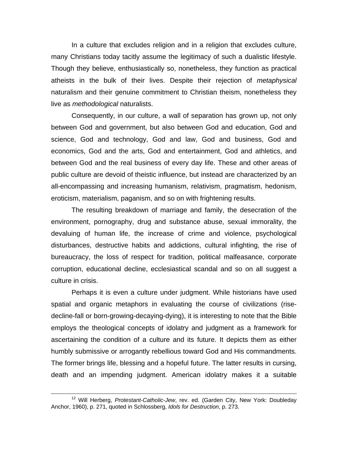In a culture that excludes religion and in a religion that excludes culture, many Christians today tacitly assume the legitimacy of such a dualistic lifestyle. Though they believe, enthusiastically so, nonetheless, they function as practical atheists in the bulk of their lives. Despite their rejection of *metaphysical* naturalism and their genuine commitment to Christian theism, nonetheless they live as *methodological* naturalists.

Consequently, in our culture, a wall of separation has grown up, not only between God and government, but also between God and education, God and science, God and technology, God and law, God and business, God and economics, God and the arts, God and entertainment, God and athletics, and between God and the real business of every day life. These and other areas of public culture are devoid of theistic influence, but instead are characterized by an all-encompassing and increasing humanism, relativism, pragmatism, hedonism, eroticism, materialism, paganism, and so on with frightening results.

The resulting breakdown of marriage and family, the desecration of the environment, pornography, drug and substance abuse, sexual immorality, the devaluing of human life, the increase of crime and violence, psychological disturbances, destructive habits and addictions, cultural infighting, the rise of bureaucracy, the loss of respect for tradition, political malfeasance, corporate corruption, educational decline, ecclesiastical scandal and so on all suggest a culture in crisis.

Perhaps it is even a culture under judgment. While historians have used spatial and organic metaphors in evaluating the course of civilizations (risedecline-fall or born-growing-decaying-dying), it is interesting to note that the Bible employs the theological concepts of idolatry and judgment as a framework for ascertaining the condition of a culture and its future. It depicts them as either humbly submissive or arrogantly rebellious toward God and His commandments. The former brings life, blessing and a hopeful future. The latter results in cursing, death and an impending judgment. American idolatry makes it a suitable

 <sup>12</sup> Will Herberg, *Protestant-Catholic-Jew*, rev. ed. (Garden City, New York: Doubleday Anchor, 1960), p. 271, quoted in Schlossberg, *Idols for Destruction*, p. 273.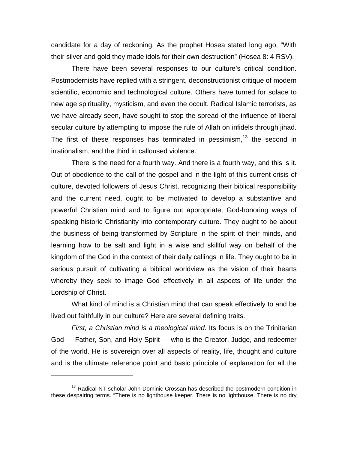candidate for a day of reckoning. As the prophet Hosea stated long ago, "With their silver and gold they made idols for their own destruction" (Hosea 8: 4 RSV).

There have been several responses to our culture's critical condition. Postmodernists have replied with a stringent, deconstructionist critique of modern scientific, economic and technological culture. Others have turned for solace to new age spirituality, mysticism, and even the occult. Radical Islamic terrorists, as we have already seen, have sought to stop the spread of the influence of liberal secular culture by attempting to impose the rule of Allah on infidels through jihad. The first of these responses has terminated in pessimism, $13$  the second in irrationalism, and the third in calloused violence.

There is the need for a fourth way. And there is a fourth way, and this is it. Out of obedience to the call of the gospel and in the light of this current crisis of culture, devoted followers of Jesus Christ, recognizing their biblical responsibility and the current need, ought to be motivated to develop a substantive and powerful Christian mind and to figure out appropriate, God-honoring ways of speaking historic Christianity into contemporary culture. They ought to be about the business of being transformed by Scripture in the spirit of their minds, and learning how to be salt and light in a wise and skillful way on behalf of the kingdom of the God in the context of their daily callings in life. They ought to be in serious pursuit of cultivating a biblical worldview as the vision of their hearts whereby they seek to image God effectively in all aspects of life under the Lordship of Christ.

What kind of mind is a Christian mind that can speak effectively to and be lived out faithfully in our culture? Here are several defining traits.

*First, a Christian mind is a theological mind*. Its focus is on the Trinitarian God — Father, Son, and Holy Spirit — who is the Creator, Judge, and redeemer of the world. He is sovereign over all aspects of reality, life, thought and culture and is the ultimate reference point and basic principle of explanation for all the

<span id="page-9-0"></span><sup>&</sup>lt;sup>13</sup> Radical NT scholar John Dominic Crossan has described the postmodern condition in these despairing terms. "There is no lighthouse keeper. There is no lighthouse. There is no dry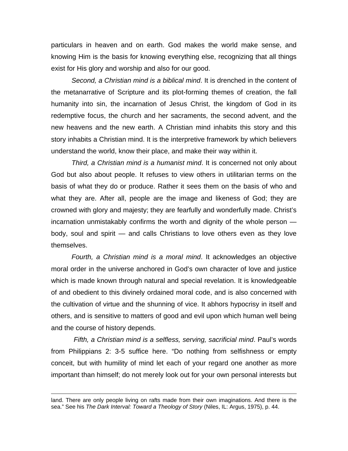particulars in heaven and on earth. God makes the world make sense, and knowing Him is the basis for knowing everything else, recognizing that all things exist for His glory and worship and also for our good.

*Second, a Christian mind is a biblical mind*. It is drenched in the content of the metanarrative of Scripture and its plot-forming themes of creation, the fall humanity into sin, the incarnation of Jesus Christ, the kingdom of God in its redemptive focus, the church and her sacraments, the second advent, and the new heavens and the new earth. A Christian mind inhabits this story and this story inhabits a Christian mind. It is the interpretive framework by which believers understand the world, know their place, and make their way within it.

*Third, a Christian mind is a humanist mind*. It is concerned not only about God but also about people. It refuses to view others in utilitarian terms on the basis of what they do or produce. Rather it sees them on the basis of who and what they are. After all, people are the image and likeness of God; they are crowned with glory and majesty; they are fearfully and wonderfully made. Christ's incarnation unmistakably confirms the worth and dignity of the whole person body, soul and spirit — and calls Christians to love others even as they love themselves.

*Fourth, a Christian mind is a moral mind*. It acknowledges an objective moral order in the universe anchored in God's own character of love and justice which is made known through natural and special revelation. It is knowledgeable of and obedient to this divinely ordained moral code, and is also concerned with the cultivation of virtue and the shunning of vice. It abhors hypocrisy in itself and others, and is sensitive to matters of good and evil upon which human well being and the course of history depends.

*Fifth, a Christian mind is a selfless, serving, sacrificial mind*. Paul's words from Philippians 2: 3-5 suffice here. "Do nothing from selfishness or empty conceit, but with humility of mind let each of your regard one another as more important than himself; do not merely look out for your own personal interests but

land. There are only people living on rafts made from their own imaginations. And there is the sea." See his *The Dark Interval: Toward a Theology of Story* (Niles, IL: Argus, 1975), p. 44.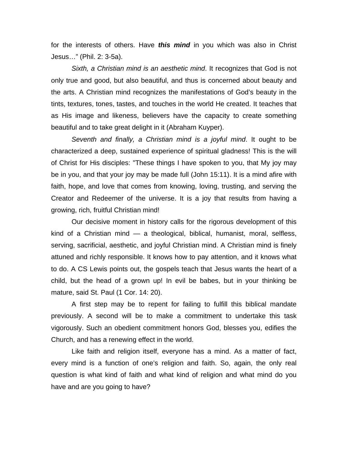for the interests of others. Have *this mind* in you which was also in Christ Jesus…" (Phil. 2: 3-5a).

*Sixth, a Christian mind is an aesthetic mind*. It recognizes that God is not only true and good, but also beautiful, and thus is concerned about beauty and the arts. A Christian mind recognizes the manifestations of God's beauty in the tints, textures, tones, tastes, and touches in the world He created. It teaches that as His image and likeness, believers have the capacity to create something beautiful and to take great delight in it (Abraham Kuyper).

*Seventh and finally, a Christian mind is a joyful mind*. It ought to be characterized a deep, sustained experience of spiritual gladness! This is the will of Christ for His disciples: "These things I have spoken to you, that My joy may be in you, and that your joy may be made full (John 15:11). It is a mind afire with faith, hope, and love that comes from knowing, loving, trusting, and serving the Creator and Redeemer of the universe. It is a joy that results from having a growing, rich, fruitful Christian mind!

Our decisive moment in history calls for the rigorous development of this kind of a Christian mind — a theological, biblical, humanist, moral, selfless, serving, sacrificial, aesthetic, and joyful Christian mind. A Christian mind is finely attuned and richly responsible. It knows how to pay attention, and it knows what to do. A CS Lewis points out, the gospels teach that Jesus wants the heart of a child, but the head of a grown up! In evil be babes, but in your thinking be mature, said St. Paul (1 Cor. 14: 20).

A first step may be to repent for failing to fulfill this biblical mandate previously. A second will be to make a commitment to undertake this task vigorously. Such an obedient commitment honors God, blesses you, edifies the Church, and has a renewing effect in the world.

Like faith and religion itself, everyone has a mind. As a matter of fact, every mind is a function of one's religion and faith. So, again, the only real question is what kind of faith and what kind of religion and what mind do you have and are you going to have?